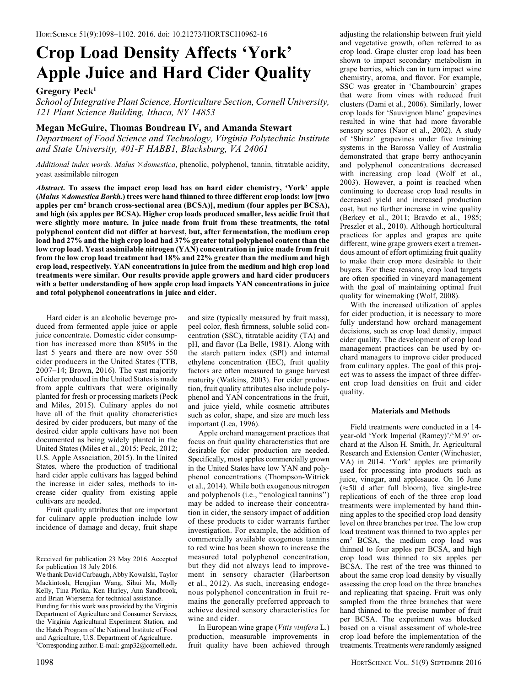# Crop Load Density Affects 'York' Apple Juice and Hard Cider Quality

Gregory Peck<sup>1</sup>

School of Integrative Plant Science, Horticulture Section, Cornell University, 121 Plant Science Building, Ithaca, NY 14853

## Megan McGuire, Thomas Boudreau IV, and Amanda Stewart

Department of Food Science and Technology, Virginia Polytechnic Institute and State University, 401-F HABB1, Blacksburg, VA 24061

Additional index words. Malus  $\times$ domestica, phenolic, polyphenol, tannin, titratable acidity, yeast assimilable nitrogen

Abstract. To assess the impact crop load has on hard cider chemistry, 'York' apple (Malus  $\times$  domestica Borkh.) trees were hand thinned to three different crop loads: low [two apples per cm<sup>2</sup> branch cross-sectional area (BCSA)], medium (four apples per BCSA), and high (six apples per BCSA). Higher crop loads produced smaller, less acidic fruit that were slightly more mature. In juice made from fruit from these treatments, the total polyphenol content did not differ at harvest, but, after fermentation, the medium crop load had 27% and the high crop load had 37% greater total polyphenol content than the low crop load. Yeast assimilable nitrogen (YAN) concentration in juice made from fruit from the low crop load treatment had 18% and 22% greater than the medium and high crop load, respectively. YAN concentrations in juice from the medium and high crop load treatments were similar. Our results provide apple growers and hard cider producers with a better understanding of how apple crop load impacts YAN concentrations in juice and total polyphenol concentrations in juice and cider.

Hard cider is an alcoholic beverage produced from fermented apple juice or apple juice concentrate. Domestic cider consumption has increased more than 850% in the last 5 years and there are now over 550 cider producers in the United States (TTB, 2007–14; Brown, 2016). The vast majority of cider produced in the United States is made from apple cultivars that were originally planted for fresh or processing markets (Peck and Miles, 2015). Culinary apples do not have all of the fruit quality characteristics desired by cider producers, but many of the desired cider apple cultivars have not been documented as being widely planted in the United States (Miles et al., 2015; Peck, 2012; U.S. Apple Association, 2015). In the United States, where the production of traditional hard cider apple cultivars has lagged behind the increase in cider sales, methods to increase cider quality from existing apple cultivars are needed.

Fruit quality attributes that are important for culinary apple production include low incidence of damage and decay, fruit shape and size (typically measured by fruit mass), peel color, flesh firmness, soluble solid concentration (SSC), titratable acidity (TA) and pH, and flavor (La Belle, 1981). Along with the starch pattern index (SPI) and internal ethylene concentration (IEC), fruit quality factors are often measured to gauge harvest maturity (Watkins, 2003). For cider production, fruit quality attributes also include polyphenol and YAN concentrations in the fruit, and juice yield, while cosmetic attributes such as color, shape, and size are much less important (Lea, 1996).

Apple orchard management practices that focus on fruit quality characteristics that are desirable for cider production are needed. Specifically, most apples commercially grown in the United States have low YAN and polyphenol concentrations (Thompson-Witrick et al., 2014). While both exogenous nitrogen and polyphenols (i.e., ''enological tannins'') may be added to increase their concentration in cider, the sensory impact of addition of these products to cider warrants further investigation. For example, the addition of commercially available exogenous tannins to red wine has been shown to increase the measured total polyphenol concentration, but they did not always lead to improvement in sensory character (Harbertson et al., 2012). As such, increasing endogenous polyphenol concentration in fruit remains the generally preferred approach to achieve desired sensory characteristics for wine and cider.

In European wine grape (Vitis vinifera L.) production, measurable improvements in fruit quality have been achieved through adjusting the relationship between fruit yield and vegetative growth, often referred to as crop load. Grape cluster crop load has been shown to impact secondary metabolism in grape berries, which can in turn impact wine chemistry, aroma, and flavor. For example, SSC was greater in 'Chambourcin' grapes that were from vines with reduced fruit clusters (Dami et al., 2006). Similarly, lower crop loads for 'Sauvignon blanc' grapevines resulted in wine that had more favorable sensory scores (Naor et al., 2002). A study of 'Shiraz' grapevines under five training systems in the Barossa Valley of Australia demonstrated that grape berry anthocyanin and polyphenol concentrations decreased with increasing crop load (Wolf et al., 2003). However, a point is reached when continuing to decrease crop load results in decreased yield and increased production cost, but no further increase in wine quality (Berkey et al., 2011; Bravdo et al., 1985; Preszler et al., 2010). Although horticultural practices for apples and grapes are quite different, wine grape growers exert a tremendous amount of effort optimizing fruit quality to make their crop more desirable to their buyers. For these reasons, crop load targets are often specified in vineyard management with the goal of maintaining optimal fruit quality for winemaking (Wolf, 2008).

With the increased utilization of apples for cider production, it is necessary to more fully understand how orchard management decisions, such as crop load density, impact cider quality. The development of crop load management practices can be used by orchard managers to improve cider produced from culinary apples. The goal of this project was to assess the impact of three different crop load densities on fruit and cider quality.

### Materials and Methods

Field treatments were conducted in a 14 year-old 'York Imperial (Ramey)'/'M.9' orchard at the Alson H. Smith, Jr. Agricultural Research and Extension Center (Winchester, VA) in 2014. 'York' apples are primarily used for processing into products such as juice, vinegar, and applesauce. On 16 June  $(\approx 50$  d after full bloom), five single-tree replications of each of the three crop load treatments were implemented by hand thinning apples to the specified crop load density level on three branches per tree. The low crop load treatment was thinned to two apples per cm<sup>2</sup> BCSA, the medium crop load was thinned to four apples per BCSA, and high crop load was thinned to six apples per BCSA. The rest of the tree was thinned to about the same crop load density by visually assessing the crop load on the three branches and replicating that spacing. Fruit was only sampled from the three branches that were hand thinned to the precise number of fruit per BCSA. The experiment was blocked based on a visual assessment of whole-tree crop load before the implementation of the treatments. Treatments were randomly assigned

Received for publication 23 May 2016. Accepted for publication 18 July 2016.

We thank David Carbaugh, Abby Kowalski, Taylor Mackintosh, Hengjian Wang, Sihui Ma, Molly Kelly, Tina Plotka, Ken Hurley, Ann Sandbrook, and Brian Wiersema for technical assistance. Funding for this work was provided by the Virginia Department of Agriculture and Consumer Services, the Virginia Agricultural Experiment Station, and the Hatch Program of the National Institute of Food and Agriculture, U.S. Department of Agriculture. 1 Corresponding author. E-mail: gmp32@cornell.edu.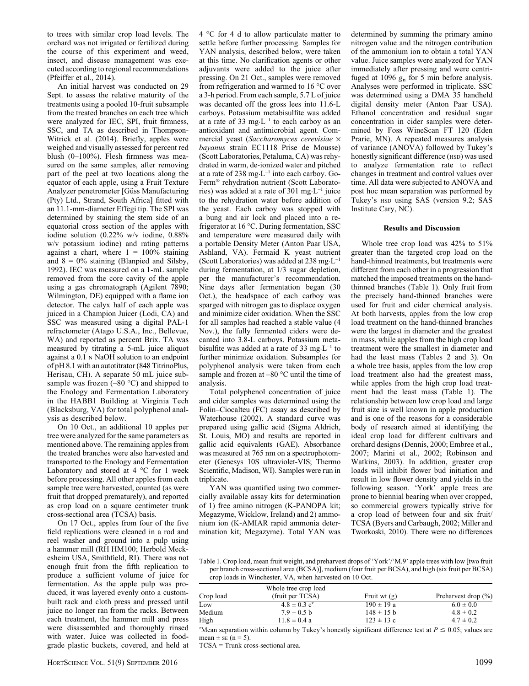to trees with similar crop load levels. The orchard was not irrigated or fertilized during the course of this experiment and weed, insect, and disease management was executed according to regional recommendations (Pfeiffer et al., 2014).

An initial harvest was conducted on 29 Sept. to assess the relative maturity of the treatments using a pooled 10-fruit subsample from the treated branches on each tree which were analyzed for IEC, SPI, fruit firmness, SSC, and TA as described in Thompson-Witrick et al. (2014). Briefly, apples were weighed and visually assessed for percent red blush (0–100%). Flesh firmness was measured on the same samples, after removing part of the peel at two locations along the equator of each apple, using a Fruit Texture Analyzer penetrometer [Güss Manufacturing] (Pty) Ltd., Strand, South Africa] fitted with an 11.1-mm-diameter Effegi tip. The SPI was determined by staining the stem side of an equatorial cross section of the apples with iodine solution (0.22% w/v iodine, 0.88% w/v potassium iodine) and rating patterns against a chart, where  $1 = 100\%$  staining and  $8 = 0\%$  staining (Blanpied and Silsby, 1992). IEC was measured on a 1-mL sample removed from the core cavity of the apple using a gas chromatograph (Agilent 7890; Wilmington, DE) equipped with a flame ion detector. The calyx half of each apple was juiced in a Champion Juicer (Lodi, CA) and SSC was measured using a digital PAL-1 refractometer (Atago U.S.A., Inc., Bellevue, WA) and reported as percent Brix. TA was measured by titrating a 5-mL juice aliquot against a  $0.1$  N NaOH solution to an endpoint of pH 8.1 with an autotitrator (848 TitrinoPlus, Herisau, CH). A separate 50 mL juice subsample was frozen  $(-80 °C)$  and shipped to the Enology and Fermentation Laboratory in the HABB1 Building at Virginia Tech (Blacksburg, VA) for total polyphenol analysis as described below.

On 10 Oct., an additional 10 apples per tree were analyzed for the same parameters as mentioned above. The remaining apples from the treated branches were also harvested and transported to the Enology and Fermentation Laboratory and stored at  $4^{\circ}$ C for 1 week before processing. All other apples from each sample tree were harvested, counted (as were fruit that dropped prematurely), and reported as crop load on a square centimeter trunk cross-sectional area (TCSA) basis.

On 17 Oct., apples from four of the five field replications were cleaned in a rod and reel washer and ground into a pulp using a hammer mill (RH HM100; Herbold Meckesheim USA, Smithfield, RI). There was not enough fruit from the fifth replication to produce a sufficient volume of juice for fermentation. As the apple pulp was produced, it was layered evenly onto a custombuilt rack and cloth press and pressed until juice no longer ran from the racks. Between each treatment, the hammer mill and press were disassembled and thoroughly rinsed with water. Juice was collected in foodgrade plastic buckets, covered, and held at

 $4^{\circ}$ C for 4 d to allow particulate matter to settle before further processing. Samples for YAN analysis, described below, were taken at this time. No clarification agents or other adjuvants were added to the juice after pressing. On 21 Oct., samples were removed from refrigeration and warmed to 16  $\degree$ C over a 3-h period. From each sample, 5.7 L of juice was decanted off the gross lees into 11.6-L carboys. Potassium metabisulfite was added at a rate of 33 mg $\cdot L^{-1}$  to each carboy as an antioxidant and antimicrobial agent. Commercial yeast (Saccharomyces cerevisiae  $\times$ bayanus strain EC1118 Prise de Mousse) (Scott Laboratories, Petaluma, CA) was rehydrated in warm, de-ionized water and pitched at a rate of 238 mg·L–1 into each carboy. Go-Ferm<sup>®</sup> rehydration nutrient (Scott Laboratories) was added at a rate of 301 mg $L^{-1}$  juice to the rehydration water before addition of the yeast. Each carboy was stopped with a bung and air lock and placed into a refrigerator at  $16^{\circ}$ C. During fermentation, SSC and temperature were measured daily with a portable Density Meter (Anton Paar USA, Ashland, VA). Fermaid K yeast nutrient (Scott Laboratories) was added at  $238 \text{ mg} \cdot \text{L}^{-1}$ during fermentation, at 1/3 sugar depletion, per the manufacturer's recommendation. Nine days after fermentation began (30 Oct.), the headspace of each carboy was sparged with nitrogen gas to displace oxygen and minimize cider oxidation. When the SSC for all samples had reached a stable value (4 Nov.), the fully fermented ciders were decanted into 3.8-L carboys. Potassium metabisulfite was added at a rate of 33 mg $\cdot L^{-1}$  to further minimize oxidation. Subsamples for polyphenol analysis were taken from each sample and frozen at  $-80$  °C until the time of analysis.

Total polyphenol concentration of juice and cider samples was determined using the Folin–Ciocalteu (FC) assay as described by Waterhouse (2002). A standard curve was prepared using gallic acid (Sigma Aldrich, St. Louis, MO) and results are reported in gallic acid equivalents (GAE). Absorbance was measured at 765 nm on a spectrophotometer (Genesys 10S ultraviolet-VIS; Thermo Scientific, Madison, WI). Samples were run in triplicate.

YAN was quantified using two commercially available assay kits for determination of 1) free amino nitrogen (K-PANOPA kit; Megazyme, Wicklow, Ireland) and 2) ammonium ion (K-AMIAR rapid ammonia determination kit; Megazyme). Total YAN was

determined by summing the primary amino nitrogen value and the nitrogen contribution of the ammonium ion to obtain a total YAN value. Juice samples were analyzed for YAN immediately after pressing and were centrifuged at 1096  $g_n$  for 5 min before analysis. Analyses were performed in triplicate. SSC was determined using a DMA 35 handheld digital density meter (Anton Paar USA). Ethanol concentration and residual sugar concentration in cider samples were determined by Foss WineScan FT 120 (Eden Prarie, MN). A repeated measures analysis of variance (ANOVA) followed by Tukey's honestly significant difference (HSD) was used to analyze fermentation rate to reflect changes in treatment and control values over time. All data were subjected to ANOVA and post hoc mean separation was performed by Tukey's HSD using SAS (version 9.2; SAS Institute Cary, NC).

#### Results and Discussion

Whole tree crop load was 42% to 51% greater than the targeted crop load on the hand-thinned treatments, but treatments were different from each other in a progression that matched the imposed treatments on the handthinned branches (Table 1). Only fruit from the precisely hand-thinned branches were used for fruit and cider chemical analysis. At both harvests, apples from the low crop load treatment on the hand-thinned branches were the largest in diameter and the greatest in mass, while apples from the high crop load treatment were the smallest in diameter and had the least mass (Tables 2 and 3). On a whole tree basis, apples from the low crop load treatment also had the greatest mass, while apples from the high crop load treatment had the least mass (Table 1). The relationship between low crop load and large fruit size is well known in apple production and is one of the reasons for a considerable body of research aimed at identifying the ideal crop load for different cultivars and orchard designs (Dennis, 2000; Embree et al., 2007; Marini et al., 2002; Robinson and Watkins, 2003). In addition, greater crop loads will inhibit flower bud initiation and result in low flower density and yields in the following season. 'York' apple trees are prone to biennial bearing when over cropped, so commercial growers typically strive for a crop load of between four and six fruit/ TCSA (Byers and Carbaugh, 2002; Miller and Tworkoski, 2010). There were no differences

Table 1. Crop load, mean fruit weight, and preharvest drops of 'York'/'M.9' apple trees with low [two fruit per branch cross-sectional area (BCSA)], medium (four fruit per BCSA), and high (six fruit per BCSA) crop loads in Winchester, VA, when harvested on 10 Oct.

|           | Whole tree crop load |                |                         |
|-----------|----------------------|----------------|-------------------------|
| Crop load | (fruit per TCSA)     | Fruit wt $(g)$ | Preharvest drop $(\% )$ |
| Low       | $4.8 \pm 0.3$ $c^2$  | $190 \pm 19$ a | $6.0 \pm 0.0$           |
| Medium    | $7.9 \pm 0.5$ b      | $148 \pm 15$ b | $4.8 \pm 0.2$           |
| High      | $11.8 \pm 0.4$ a     | $123 \pm 13$ c | $4.7 \pm 0.2$           |

 $^{7}$ Mean separation within column by Tukey's honestly significant difference test at  $P \le 0.05$ ; values are mean  $\pm$  se (n = 5).

TCSA = Trunk cross-sectional area.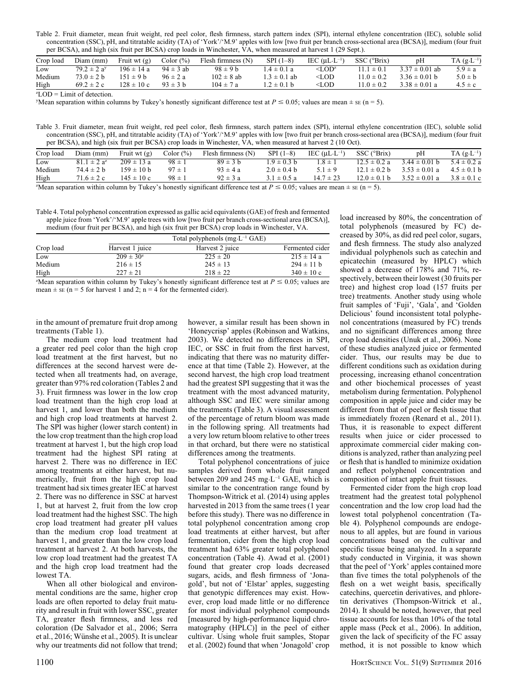Table 2. Fruit diameter, mean fruit weight, red peel color, flesh firmness, starch pattern index (SPI), internal ethylene concentration (IEC), soluble solid concentration (SSC), pH, and titratable acidity (TA) of 'York'/'M.9' apples with low [two fruit per branch cross-sectional area (BCSA)], medium (four fruit per BCSA), and high (six fruit per BCSA) crop loads in Winchester, VA, when measured at harvest 1 (29 Sept.).

| Crop load | Diam $(mm)$                                      | Fruit wt $(g)$               | Color $(\% )$ | Flesh firmness (N) | $SPI(1-8)$       | IEC $(uL-1)$                                                                                                              | SSC (°Brix)    | pH                 | $TA(g \cdot L^{-1})$ |
|-----------|--------------------------------------------------|------------------------------|---------------|--------------------|------------------|---------------------------------------------------------------------------------------------------------------------------|----------------|--------------------|----------------------|
| Low       | $79.2 \pm 2 a^{y}$                               | $196 \pm 14$ a $94 \pm 3$ ab |               | $98 \pm 9$ b       | $1.4 \pm 0.1 a$  | $\triangle$ LOD <sup>z</sup>                                                                                              | $11.1 \pm 0.1$ | $3.37 \pm 0.01$ ab | $5.9 \pm a$          |
| Medium    | $73.0 \pm 2 h$                                   | $151 \pm 9$ b                | $96 \pm 2 a$  | $102 \pm 8$ ab     | $1.3 \pm 0.1$ ab | <lod< td=""><td><math>11.0 \pm 0.2</math></td><td><math>3.36 \pm 0.01</math> b</td><td><math>5.0 \pm h</math></td></lod<> | $11.0 \pm 0.2$ | $3.36 \pm 0.01$ b  | $5.0 \pm h$          |
| High      | $69.2 \pm 2c$                                    | $128 \pm 10$ c $93 \pm 3$ b  |               | $104 \pm 7$ a      | $1.2 \pm 0.1$ b  | <lod< td=""><td><math>11.0 \pm 0.2</math></td><td><math>3.38 \pm 0.01</math> a</td><td><math>4.5 \pm c</math></td></lod<> | $11.0 \pm 0.2$ | $3.38 \pm 0.01$ a  | $4.5 \pm c$          |
|           | $\sim$ $\sim$ $\sim$ $\sim$ $\sim$ $\sim$ $\sim$ |                              |               |                    |                  |                                                                                                                           |                |                    |                      |

z LOD = Limit of detection.

Mean separation within columns by Tukey's honestly significant difference test at  $P \le 0.05$ ; values are mean  $\pm$  se (n = 5).

Table 3. Fruit diameter, mean fruit weight, red peel color, flesh firmness, starch pattern index (SPI), internal ethylene concentration (IEC), soluble solid concentration (SSC), pH, and titratable acidity (TA) of 'York'/'M.9' apples with low [two fruit per branch cross-sectional area (BCSA)], medium (four fruit per BCSA), and high (six fruit per BCSA) crop loads in Winchester, VA, when measured at harvest 2 (10 Oct).

| Crop load | Diam $(mm)$      | Fruit wt $(g)$ | Color $(\%)$ | Flesh firmness (N)                                                                                                                                                                                                                                                          | $SPI(1-8)$      | IEC $(\mu L \cdot L^{-1})$ | SSC (°Brix)      | pH                | $TA(g \cdot L^{-1})$ |
|-----------|------------------|----------------|--------------|-----------------------------------------------------------------------------------------------------------------------------------------------------------------------------------------------------------------------------------------------------------------------------|-----------------|----------------------------|------------------|-------------------|----------------------|
| Low       | $81.1 \pm 2 a^2$ | $209 \pm 13$ a | $98 \pm 1$   | $89 \pm 3$ b                                                                                                                                                                                                                                                                | $1.9 \pm 0.3$ b | $1.8 \pm 1$                | $12.5 \pm 0.2$ a | $3.44 \pm 0.01$ b | $5.4 \pm 0.2$ a      |
| Medium    | $74.4 \pm 2 h$   | $159 \pm 10$ b | $97 \pm 1$   | $93 \pm 4 a$                                                                                                                                                                                                                                                                | $2.0 \pm 0.4 b$ | $5.1 \pm 9$                | $12.1 \pm 0.2$ b | $3.53 \pm 0.01$ a | $4.5 \pm 0.1$ b      |
| High      | $71.6 \pm 2c$    | $145 \pm 10$ c | $98 \pm 1$   | $92 \pm 3$ a                                                                                                                                                                                                                                                                | $3.1 \pm 0.5$ a | $14.7 \pm 23$              | $12.0 \pm 0.1$ b | $3.52 \pm 0.01$ a | $3.8 \pm 0.1$ c      |
|           |                  |                |              | $2\lambda$ from concentration of the column for Tailors's frame attack of a $\lambda$ and $\lambda$ and $\lambda$ and $\lambda$ and $\lambda$ and $\lambda$ and $\lambda$ and $\lambda$ and $\lambda$ and $\lambda$ and $\lambda$ and $\lambda$ and $\lambda$ and $\lambda$ |                 |                            |                  |                   |                      |

"Mean separation within column by Tukey's honestly significant difference test at  $P \le 0.05$ ; values are mean  $\pm$  se (n = 5).

Table 4. Total polyphenol concentration expressed as gallic acid equivalents (GAE) of fresh and fermented apple juice from 'York'/'M.9' apple trees with low [two fruit per branch cross-sectional area (BCSA)], medium (four fruit per BCSA), and high (six fruit per BCSA) crop loads in Winchester, VA.

|           |                  | Total polyphenols $(mg \cdot L^{-1} GAE)$ |                 |
|-----------|------------------|-------------------------------------------|-----------------|
| Crop load | Harvest 1 juice  | Harvest 2 juice                           | Fermented cider |
| Low       | $209 \pm 30^{2}$ | $225 \pm 20$                              | $215 \pm 14$ a  |
| Medium    | $216 \pm 15$     | $245 \pm 13$                              | $294 \pm 11$ b  |
| High      | $227 \pm 21$     | $218 \pm 22$                              | $340 \pm 10$ c  |

Mean separation within column by Tukey's honestly significant difference test at  $P \le 0.05$ ; values are mean  $\pm$  sE (n = 5 for harvest 1 and 2; n = 4 for the fermented cider).

in the amount of premature fruit drop among treatments (Table 1).

The medium crop load treatment had a greater red peel color than the high crop load treatment at the first harvest, but no differences at the second harvest were detected when all treatments had, on average, greater than 97% red coloration (Tables 2 and 3). Fruit firmness was lower in the low crop load treatment than the high crop load at harvest 1, and lower than both the medium and high crop load treatments at harvest 2. The SPI was higher (lower starch content) in the low crop treatment than the high crop load treatment at harvest 1, but the high crop load treatment had the highest SPI rating at harvest 2. There was no difference in IEC among treatments at either harvest, but numerically, fruit from the high crop load treatment had six times greater IEC at harvest 2. There was no difference in SSC at harvest 1, but at harvest 2, fruit from the low crop load treatment had the highest SSC. The high crop load treatment had greater pH values than the medium crop load treatment at harvest 1, and greater than the low crop load treatment at harvest 2. At both harvests, the low crop load treatment had the greatest TA and the high crop load treatment had the lowest TA.

When all other biological and environmental conditions are the same, higher crop loads are often reported to delay fruit maturity and result in fruit with lower SSC, greater TA, greater flesh firmness, and less red coloration (De Salvador et al., 2006; Serra et al., 2016; Wünshe et al., 2005). It is unclear why our treatments did not follow that trend; however, a similar result has been shown in 'Honeycrisp' apples (Robinson and Watkins, 2003). We detected no differences in SPI, IEC, or SSC in fruit from the first harvest, indicating that there was no maturity difference at that time (Table 2). However, at the second harvest, the high crop load treatment had the greatest SPI suggesting that it was the treatment with the most advanced maturity, although SSC and IEC were similar among the treatments (Table 3). A visual assessment of the percentage of return bloom was made in the following spring. All treatments had a very low return bloom relative to other trees in that orchard, but there were no statistical differences among the treatments.

Total polyphenol concentrations of juice samples derived from whole fruit ranged between 209 and 245 mg $\text{L}^{-1}$  GAE, which is similar to the concentration range found by Thompson-Witrick et al. (2014) using apples harvested in 2013 from the same trees (1 year before this study). There was no difference in total polyphenol concentration among crop load treatments at either harvest, but after fermentation, cider from the high crop load treatment had 63% greater total polyphenol concentration (Table 4). Awad et al. (2001) found that greater crop loads decreased sugars, acids, and flesh firmness of 'Jonagold', but not of 'Elstar' apples, suggesting that genotypic differences may exist. However, crop load made little or no difference for most individual polyphenol compounds [measured by high-performance liquid chromatography (HPLC)] in the peel of either cultivar. Using whole fruit samples, Stopar et al. (2002) found that when 'Jonagold' crop

load increased by 80%, the concentration of total polyphenols (measured by FC) decreased by 30%, as did red peel color, sugars, and flesh firmness. The study also analyzed individual polyphenols such as catechin and epicatechin (measured by HPLC) which showed a decrease of 178% and 71%, respectively, between their lowest (30 fruits per tree) and highest crop load (157 fruits per tree) treatments. Another study using whole fruit samples of 'Fuji', 'Gala', and 'Golden Delicious' found inconsistent total polyphenol concentrations (measured by FC) trends and no significant differences among three crop load densities (Unuk et al., 2006). None of these studies analyzed juice or fermented cider. Thus, our results may be due to different conditions such as oxidation during processing, increasing ethanol concentration and other biochemical processes of yeast metabolism during fermentation. Polyphenol composition in apple juice and cider may be different from that of peel or flesh tissue that is immediately frozen (Renard et al., 2011). Thus, it is reasonable to expect different results when juice or cider processed to approximate commercial cider making conditions is analyzed, rather than analyzing peel or flesh that is handled to minimize oxidation and reflect polyphenol concentration and composition of intact apple fruit tissues.

Fermented cider from the high crop load treatment had the greatest total polyphenol concentration and the low crop load had the lowest total polyphenol concentration (Table 4). Polyphenol compounds are endogenous to all apples, but are found in various concentrations based on the cultivar and specific tissue being analyzed. In a separate study conducted in Virginia, it was shown that the peel of 'York' apples contained more than five times the total polyphenols of the flesh on a wet weight basis, specifically catechins, quercetin derivatives, and phloretin derivatives (Thompson-Witrick et al., 2014). It should be noted, however, that peel tissue accounts for less than 10% of the total apple mass (Peck et al., 2006). In addition, given the lack of specificity of the FC assay method, it is not possible to know which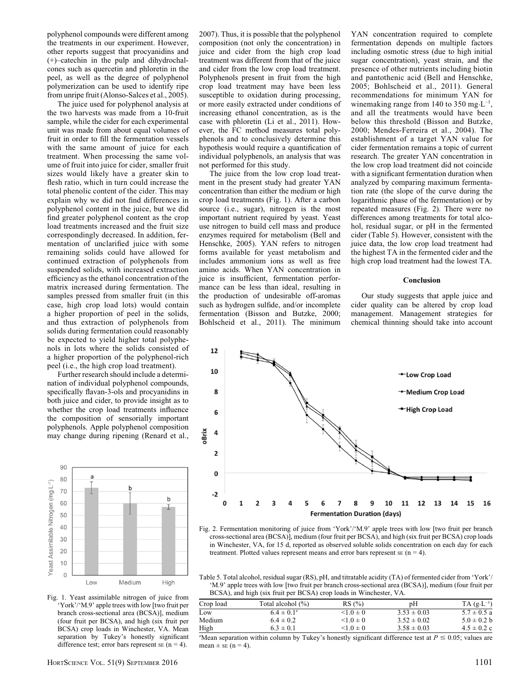polyphenol compounds were different among the treatments in our experiment. However, other reports suggest that procyanidins and (+)–catechin in the pulp and dihydrochalcones such as quercetin and phloretin in the peel, as well as the degree of polyphenol polymerization can be used to identify ripe from unripe fruit (Alonso-Salces et al., 2005).

The juice used for polyphenol analysis at the two harvests was made from a 10-fruit sample, while the cider for each experimental unit was made from about equal volumes of fruit in order to fill the fermentation vessels with the same amount of juice for each treatment. When processing the same volume of fruit into juice for cider, smaller fruit sizes would likely have a greater skin to flesh ratio, which in turn could increase the total phenolic content of the cider. This may explain why we did not find differences in polyphenol content in the juice, but we did find greater polyphenol content as the crop load treatments increased and the fruit size correspondingly decreased. In addition, fermentation of unclarified juice with some remaining solids could have allowed for continued extraction of polyphenols from suspended solids, with increased extraction efficiency as the ethanol concentration of the matrix increased during fermentation. The samples pressed from smaller fruit (in this case, high crop load lots) would contain a higher proportion of peel in the solids, and thus extraction of polyphenols from solids during fermentation could reasonably be expected to yield higher total polyphenols in lots where the solids consisted of a higher proportion of the polyphenol-rich peel (i.e., the high crop load treatment).

Further research should include a determination of individual polyphenol compounds, specifically flavan-3-ols and procyanidins in both juice and cider, to provide insight as to whether the crop load treatments influence the composition of sensorially important polyphenols. Apple polyphenol composition may change during ripening (Renard et al.,



Fig. 1. Yeast assimilable nitrogen of juice from 'York'/'M.9' apple trees with low [two fruit per branch cross-sectional area (BCSA)], medium (four fruit per BCSA), and high (six fruit per BCSA) crop loads in Winchester, VA. Mean separation by Tukey's honestly significant difference test; error bars represent  $SE (n = 4)$ .

2007). Thus, it is possible that the polyphenol composition (not only the concentration) in juice and cider from the high crop load treatment was different from that of the juice and cider from the low crop load treatment. Polyphenols present in fruit from the high crop load treatment may have been less susceptible to oxidation during processing, or more easily extracted under conditions of increasing ethanol concentration, as is the case with phloretin (Li et al., 2011). However, the FC method measures total polyphenols and to conclusively determine this hypothesis would require a quantification of individual polyphenols, an analysis that was not performed for this study.

The juice from the low crop load treatment in the present study had greater YAN concentration than either the medium or high crop load treatments (Fig. 1). After a carbon source (i.e., sugar), nitrogen is the most important nutrient required by yeast. Yeast use nitrogen to build cell mass and produce enzymes required for metabolism (Bell and Henschke, 2005). YAN refers to nitrogen forms available for yeast metabolism and includes ammonium ions as well as free amino acids. When YAN concentration in juice is insufficient, fermentation performance can be less than ideal, resulting in the production of undesirable off-aromas such as hydrogen sulfide, and/or incomplete fermentation (Bisson and Butzke, 2000; Bohlscheid et al., 2011). The minimum

YAN concentration required to complete fermentation depends on multiple factors including osmotic stress (due to high initial sugar concentration), yeast strain, and the presence of other nutrients including biotin and pantothenic acid (Bell and Henschke, 2005; Bohlscheid et al., 2011). General recommendations for minimum YAN for winemaking range from 140 to 350 mg $\cdot$ L<sup>-1</sup>, and all the treatments would have been below this threshold (Bisson and Butzke, 2000; Mendes-Ferreira et al., 2004). The establishment of a target YAN value for cider fermentation remains a topic of current research. The greater YAN concentration in the low crop load treatment did not coincide with a significant fermentation duration when analyzed by comparing maximum fermentation rate (the slope of the curve during the logarithmic phase of the fermentation) or by repeated measures (Fig. 2). There were no differences among treatments for total alcohol, residual sugar, or pH in the fermented cider (Table 5). However, consistent with the juice data, the low crop load treatment had the highest TA in the fermented cider and the high crop load treatment had the lowest TA.

#### Conclusion

Our study suggests that apple juice and cider quality can be altered by crop load management. Management strategies for chemical thinning should take into account



Fig. 2. Fermentation monitoring of juice from 'York'/'M.9' apple trees with low [two fruit per branch cross-sectional area (BCSA)], medium (four fruit per BCSA), and high (six fruit per BCSA) crop loads in Winchester, VA, for 15 d, reported as observed soluble solids concentration on each day for each treatment. Plotted values represent means and error bars represent  $SE(n = 4)$ .

Table 5. Total alcohol, residual sugar (RS), pH, and titratable acidity (TA) of fermented cider from 'York'/ 'M.9' apple trees with low [two fruit per branch cross-sectional area (BCSA)], medium (four fruit per BCSA), and high (six fruit per BCSA) crop loads in Winchester, VA.

| Crop load | Total alcohol (%) | $RS(\%)$      | pH              | $TA (g.L^{-1})$ |
|-----------|-------------------|---------------|-----------------|-----------------|
| Low       | $6.4 \pm 0.1^z$   | $1.0 \pm 0.0$ | $3.53 \pm 0.03$ | $5.7 \pm 0.5$ a |
| Medium    | $6.4 \pm 0.2$     | $1.0 \pm 0.0$ | $3.52 \pm 0.02$ | $5.0 \pm 0.2$ b |
| High      | $6.3 \pm 0.1$     | $1.0 \pm 0.0$ | $3.58 \pm 0.03$ | $4.5 \pm 0.2$ c |
|           |                   |               |                 |                 |

 $^{7}$ Mean separation within column by Tukey's honestly significant difference test at  $P \le 0.05$ ; values are mean  $\pm$  se (n = 4).